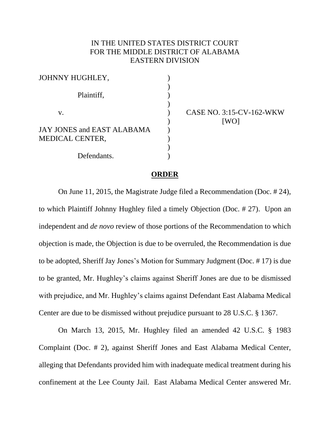## IN THE UNITED STATES DISTRICT COURT FOR THE MIDDLE DISTRICT OF ALABAMA EASTERN DIVISION

| JOHNNY HUGHLEY,            |  |
|----------------------------|--|
|                            |  |
| Plaintiff,                 |  |
|                            |  |
| V.                         |  |
|                            |  |
| JAY JONES and EAST ALABAMA |  |
| <b>MEDICAL CENTER,</b>     |  |
|                            |  |
| Defendants.                |  |

CASE NO. 3:15-CV-162-WKW [WO]

## **ORDER**

On June 11, 2015, the Magistrate Judge filed a Recommendation (Doc. # 24), to which Plaintiff Johnny Hughley filed a timely Objection (Doc. # 27). Upon an independent and *de novo* review of those portions of the Recommendation to which objection is made, the Objection is due to be overruled, the Recommendation is due to be adopted, Sheriff Jay Jones's Motion for Summary Judgment (Doc. # 17) is due to be granted, Mr. Hughley's claims against Sheriff Jones are due to be dismissed with prejudice, and Mr. Hughley's claims against Defendant East Alabama Medical Center are due to be dismissed without prejudice pursuant to 28 U.S.C. § 1367.

On March 13, 2015, Mr. Hughley filed an amended 42 U.S.C. § 1983 Complaint (Doc. # 2), against Sheriff Jones and East Alabama Medical Center, alleging that Defendants provided him with inadequate medical treatment during his confinement at the Lee County Jail. East Alabama Medical Center answered Mr.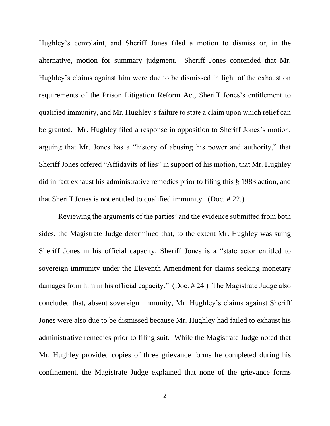Hughley's complaint, and Sheriff Jones filed a motion to dismiss or, in the alternative, motion for summary judgment. Sheriff Jones contended that Mr. Hughley's claims against him were due to be dismissed in light of the exhaustion requirements of the Prison Litigation Reform Act, Sheriff Jones's entitlement to qualified immunity, and Mr. Hughley's failure to state a claim upon which relief can be granted. Mr. Hughley filed a response in opposition to Sheriff Jones's motion, arguing that Mr. Jones has a "history of abusing his power and authority," that Sheriff Jones offered "Affidavits of lies" in support of his motion, that Mr. Hughley did in fact exhaust his administrative remedies prior to filing this § 1983 action, and that Sheriff Jones is not entitled to qualified immunity. (Doc. # 22.)

Reviewing the arguments of the parties' and the evidence submitted from both sides, the Magistrate Judge determined that, to the extent Mr. Hughley was suing Sheriff Jones in his official capacity, Sheriff Jones is a "state actor entitled to sovereign immunity under the Eleventh Amendment for claims seeking monetary damages from him in his official capacity." (Doc. # 24.) The Magistrate Judge also concluded that, absent sovereign immunity, Mr. Hughley's claims against Sheriff Jones were also due to be dismissed because Mr. Hughley had failed to exhaust his administrative remedies prior to filing suit. While the Magistrate Judge noted that Mr. Hughley provided copies of three grievance forms he completed during his confinement, the Magistrate Judge explained that none of the grievance forms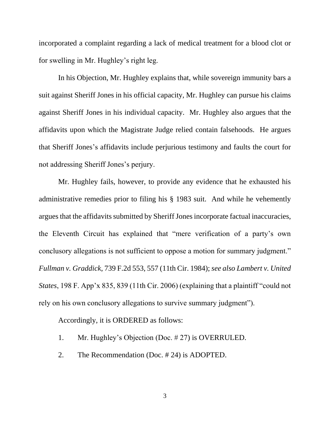incorporated a complaint regarding a lack of medical treatment for a blood clot or for swelling in Mr. Hughley's right leg.

In his Objection, Mr. Hughley explains that, while sovereign immunity bars a suit against Sheriff Jones in his official capacity, Mr. Hughley can pursue his claims against Sheriff Jones in his individual capacity. Mr. Hughley also argues that the affidavits upon which the Magistrate Judge relied contain falsehoods. He argues that Sheriff Jones's affidavits include perjurious testimony and faults the court for not addressing Sheriff Jones's perjury.

Mr. Hughley fails, however, to provide any evidence that he exhausted his administrative remedies prior to filing his § 1983 suit. And while he vehemently argues that the affidavits submitted by Sheriff Jones incorporate factual inaccuracies, the Eleventh Circuit has explained that "mere verification of a party's own conclusory allegations is not sufficient to oppose a motion for summary judgment." *Fullman v. Graddick*, 739 F.2d 553, 557 (11th Cir. 1984); *see also Lambert v. United States*, 198 F. App'x 835, 839 (11th Cir. 2006) (explaining that a plaintiff "could not rely on his own conclusory allegations to survive summary judgment").

Accordingly, it is ORDERED as follows:

- 1. Mr. Hughley's Objection (Doc. # 27) is OVERRULED.
- 2. The Recommendation (Doc. # 24) is ADOPTED.